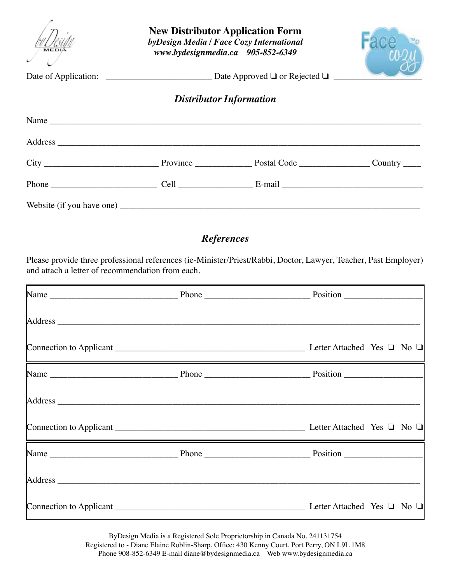| <b>New Distributor Application Form</b><br>byDesign Media / Face Cozy International<br>www.bydesignmedia.ca 905-852-6349 |                                |  |  |  |  |  |
|--------------------------------------------------------------------------------------------------------------------------|--------------------------------|--|--|--|--|--|
|                                                                                                                          | <b>Distributor Information</b> |  |  |  |  |  |
| Name $\overline{\phantom{a}}$                                                                                            |                                |  |  |  |  |  |
|                                                                                                                          |                                |  |  |  |  |  |
|                                                                                                                          |                                |  |  |  |  |  |
|                                                                                                                          |                                |  |  |  |  |  |
|                                                                                                                          |                                |  |  |  |  |  |

## *References*

Please provide three professional references (ie-Minister/Priest/Rabbi, Doctor, Lawyer, Teacher, Past Employer) and attach a letter of recommendation from each.

ByDesign Media is a Registered Sole Proprietorship in Canada No. 241131754 Registered to - Diane Elaine Roblin-Sharp, Office: 430 Kenny Court, Port Perry, ON L9L 1M8 Phone 908-852-6349 E-mail diane@bydesignmedia.ca Web www.bydesignmedia.ca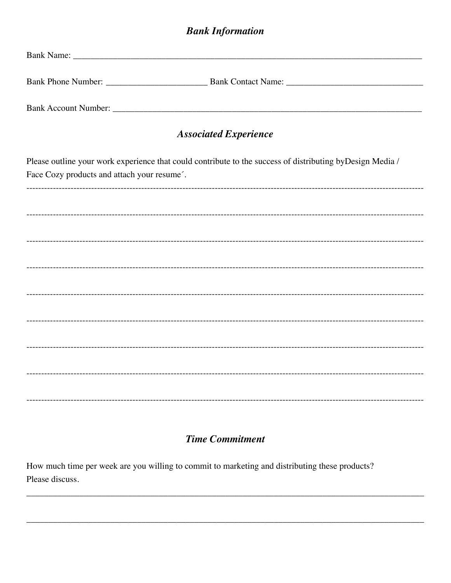## **Bank Information**

| <b>Associated Experience</b>                                                                                                                             |  |  |  |  |  |  |  |
|----------------------------------------------------------------------------------------------------------------------------------------------------------|--|--|--|--|--|--|--|
| Please outline your work experience that could contribute to the success of distributing byDesign Media /<br>Face Cozy products and attach your resume'. |  |  |  |  |  |  |  |
|                                                                                                                                                          |  |  |  |  |  |  |  |
|                                                                                                                                                          |  |  |  |  |  |  |  |
|                                                                                                                                                          |  |  |  |  |  |  |  |
|                                                                                                                                                          |  |  |  |  |  |  |  |
|                                                                                                                                                          |  |  |  |  |  |  |  |
|                                                                                                                                                          |  |  |  |  |  |  |  |
|                                                                                                                                                          |  |  |  |  |  |  |  |
|                                                                                                                                                          |  |  |  |  |  |  |  |
|                                                                                                                                                          |  |  |  |  |  |  |  |

## **Time Commitment**

How much time per week are you willing to commit to marketing and distributing these products? Please discuss.